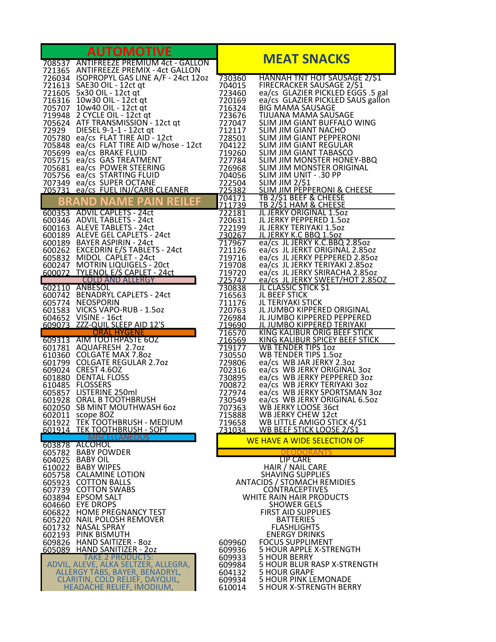| <b>AUTOMOTIVE</b>                                                 |                                                                                                                                                                                                                                              |                                         |                                                                                                                                                                                                                     |
|-------------------------------------------------------------------|----------------------------------------------------------------------------------------------------------------------------------------------------------------------------------------------------------------------------------------------|-----------------------------------------|---------------------------------------------------------------------------------------------------------------------------------------------------------------------------------------------------------------------|
|                                                                   | 708537 ANTIFREEZE PREMIUM 4ct - GALLON<br>721365 ANTIFREEZE PREMIX - 4ct GALLON                                                                                                                                                              |                                         | <b>MEAT SNACKS</b>                                                                                                                                                                                                  |
|                                                                   | 726034 ISOPROPYL GAS LINE A/F - 24ct 12oz                                                                                                                                                                                                    | 730360<br>704015                        | <b>HANNAH TNT HOT SAUSAGE 2/S1</b><br>FIRECRACKER SAUSAGE 2/\$1                                                                                                                                                     |
|                                                                   |                                                                                                                                                                                                                                              | 723460                                  | ea/cs GLAZIER PICKLED EGGS .5 gal                                                                                                                                                                                   |
|                                                                   | 721613 SAE30 OIL - 12ct qt<br>721605 5x30 OIL - 12ct qt<br>716316 10w30 OIL - 12ct qt<br>705707 10w40 OIL - 12ct qt<br>719948 2 CYCLE OIL - 12ct qt                                                                                          |                                         | ea/cs GLAZIER PICKLED SAUS gallon                                                                                                                                                                                   |
|                                                                   |                                                                                                                                                                                                                                              |                                         | SLIM JIM GIANT BUFFALO WING                                                                                                                                                                                         |
|                                                                   |                                                                                                                                                                                                                                              |                                         |                                                                                                                                                                                                                     |
|                                                                   | 21605<br>216316 10w30 OIL - 12ct qt<br>220169 ea/cs GLAZIER PICKLED SA<br>220169 ea/cs GLAZIER PICKLED SA<br>220169 ea/cs GLAZIER PICKLED SA<br>220169 ea/cs GLAZIER PICKLED SA<br>220169 ea/cs GLAZIER PICKLED SA<br>220169 ea/cs FLAT TIRE |                                         | 728501 SLIM JIM GIANT PEPPERONI                                                                                                                                                                                     |
|                                                                   | 705699 ea/cs BRAKE FLUID<br>705715 ea/cs GAS TREATMENT                                                                                                                                                                                       | 719260                                  | SLIM JIM GIANT TABASCO<br>727784 SLIM JIM MONSTER HONEY-BBQ                                                                                                                                                         |
|                                                                   | 705681 ea/cs POWER STEERING                                                                                                                                                                                                                  |                                         |                                                                                                                                                                                                                     |
|                                                                   | 705756 ea/cs STARTING FLUID<br>707349 ea/cs SUPER OCTANE                                                                                                                                                                                     |                                         |                                                                                                                                                                                                                     |
|                                                                   | 705731 ea/cs FUEL INJ/CARB CLEANER                                                                                                                                                                                                           |                                         |                                                                                                                                                                                                                     |
|                                                                   | BRAND NAME PAIN REILEF<br>600353 ADVIL CAPLETS - 24ct                                                                                                                                                                                        |                                         | 712784<br>726968 SLIM JIM IVIST.<br>704056 SLIM JIM UNIT - .30 Fr<br>722504 SLIM JIM 2/\$1<br>725382 SLIM JIM PEPPERONI & CHEESE<br>704171 TB 2/\$1 BEEF & CHEESE<br>TR 2/\$1 HAM & CHEESE<br>TR 2/\$1 HAM & CHEESE |
|                                                                   | 600346 ADVIL TABLETS - 24ct                                                                                                                                                                                                                  |                                         |                                                                                                                                                                                                                     |
|                                                                   | 600163 ALEVE TABLETS - 24ct<br>600189 ALLVL MULLIV<br>600189 ALEVE GEL CAPLETS - 24ct<br>600190 BAVER ASPIRIN - 24ct                                                                                                                         | 722199                                  | JL JERKY TERIYAKI 1.5oz<br>JL JERKY K.C BBQ 1.5oz                                                                                                                                                                   |
|                                                                   | 600189 BAYER ASPIRIN - 24ct                                                                                                                                                                                                                  | $\frac{7\bar{30}267}{717967}$<br>721126 | ea/cs JL JERKY K.C.BBQ 2.85oz<br>ea/cs JL JERKT ORIGINAL 2.85oz                                                                                                                                                     |
|                                                                   |                                                                                                                                                                                                                                              | 719716                                  | ea/cs JL JERKY PEPPERED 2.85oz                                                                                                                                                                                      |
|                                                                   | 600163<br>600262 EXCEDRIN E/S TABLETS - 24ct<br>605832 MIDOL CAPLET - 24ct<br>6000247 MOTRIN LIQUIGELS - 20ct<br>600072 TYLENOL E/S CAPLET - 24ct<br>700410 ANDERS ND ALLERGY                                                                | 719708<br>719720                        | ea/cs JL JERKY TERIYAKI 2.85oz<br>ea/cs JL JERKY SRIRACHA 2.85oz                                                                                                                                                    |
|                                                                   | 602110 ANBESOL                                                                                                                                                                                                                               | 725747<br>730838                        | ea/cs JL JERKY SWEET/HOT 2.850Z<br>JL CLASSIC STICK \$1                                                                                                                                                             |
|                                                                   | 600742 BENADRYL CAPLETS - 24ct                                                                                                                                                                                                               | 716563                                  | <b>JL BEEF STICK</b>                                                                                                                                                                                                |
|                                                                   | 605774 NEOSPORIN<br>601583 VICKS VAPO-RUB - 1.5oz                                                                                                                                                                                            | 711176<br>720763                        | JL TERIYAKI STICK<br>JL JUMBO KIPPERED ORIGINAL                                                                                                                                                                     |
|                                                                   | 604652 VISINE - 16ct<br>609073 ZZZ-QUIL SLEEP AID 12'S                                                                                                                                                                                       | 726984                                  | JL JUMBO KIPPERED PEPPERED<br>719690 JL JUMBO KIPPERED TERIYAKI                                                                                                                                                     |
|                                                                   | <b>ORAL HYGENE</b>                                                                                                                                                                                                                           | 716570                                  | <b>KING KALIBUR ORIG BEEF STICK</b><br>KING KALIBUR SPICEY BEEF STICK                                                                                                                                               |
|                                                                   | 609313 AIM TOOTHPASTE 6OZ<br>601781 AQUAFRESH 2.7oz<br>610360 COLGATE MAX 7.8oz<br>601799 COLGATE REGULAR 2.7oz                                                                                                                              | 716569<br>719177                        | <b>WB TENDER TIPS 10Z</b>                                                                                                                                                                                           |
|                                                                   |                                                                                                                                                                                                                                              | 730550<br>729806                        | <b>WB TENDER TIPS 1.50Z</b><br>ea/cs WB JAR JERKY 2.3oz                                                                                                                                                             |
|                                                                   | 609024 CREST 4.6OZ<br>601880 DENTAL FLOSS                                                                                                                                                                                                    | 702316<br>730895                        | ea/cs WB JERKY ORIGINAL 30z<br>ea/cs WB JERKY PEPPERED 3oz                                                                                                                                                          |
|                                                                   | 610485 FLOSSERS                                                                                                                                                                                                                              | 700872                                  | ea/cs WB JERKY TERIYAKI 30Z                                                                                                                                                                                         |
|                                                                   | 601928 ORAL B TOOTHBRUSH<br>601928 ORAL B TOOTHBRUSH<br>602050 SB MINT MOUTH                                                                                                                                                                 | 727974<br>730549                        | ea/cs WB JERKY SPORTSMAN 3oz<br>ea/cs WB JERKY ORIGINAL 6.5oz                                                                                                                                                       |
|                                                                   | 602011 scope 8OZ                                                                                                                                                                                                                             | 707363<br>715888                        | WB JERKY LOOSE 36ct<br><b>WB JERKY CHEW 12ct</b>                                                                                                                                                                    |
|                                                                   | 601922 TEK TOOTHBRUSH - MEDIUM                                                                                                                                                                                                               | 719658                                  | WB LITTLE AMIGO STICK 4/\$1                                                                                                                                                                                         |
|                                                                   | 601914 TEK TOOTHBRUSH - SOFT<br><b>MISCELLANEOUS</b>                                                                                                                                                                                         | 731034                                  | <b>WB BEEF STICK LOOSE 2/S1</b><br>WE HAVE A WIDE SELECTION OF                                                                                                                                                      |
|                                                                   | 603878 ALCOHOL<br>605782 BABY POWDER                                                                                                                                                                                                         |                                         |                                                                                                                                                                                                                     |
|                                                                   | 604025 BABY OIL<br>610022 BABY WIPES                                                                                                                                                                                                         |                                         | <b>LIP CARE</b><br>HAIR / NAIL CARE                                                                                                                                                                                 |
|                                                                   | 605758 CALAMINE LOTION                                                                                                                                                                                                                       |                                         | <b>SHAVING SUPPLIES</b>                                                                                                                                                                                             |
|                                                                   | 605923 COTTON BALLS<br>607739 COTTON SWABS                                                                                                                                                                                                   |                                         | <b>ANTACIDS / STOMACH REMIDIES</b><br><b>CONTRACEPTIVES</b>                                                                                                                                                         |
|                                                                   | 603894 EPSOM SALT<br>604660 EYE DROPS                                                                                                                                                                                                        |                                         | WHITE RAIN HAIR PRODUCTS<br><b>SHOWER GELS</b>                                                                                                                                                                      |
|                                                                   | 606822 HOME PREGNANCY TEST                                                                                                                                                                                                                   |                                         | <b>FIRST AID SUPPLIES</b>                                                                                                                                                                                           |
|                                                                   | 605220 NAIL POLOSH REMOVER<br>601732 NASAL SPRAY                                                                                                                                                                                             |                                         | <b>BATTERIES</b><br><b>FLASHLIGHTS</b>                                                                                                                                                                              |
|                                                                   | 602193 PINK BISMUTH<br>609826 HAND SAITIZER - 80Z                                                                                                                                                                                            | 609960                                  | <b>ENERGY DRINKS</b><br><b>FOCUS SUPPLIMENT</b>                                                                                                                                                                     |
|                                                                   | 605089 HAND SANITIZER - 20Z                                                                                                                                                                                                                  | 609936                                  | 5 HOUR APPLE X-STRENGTH                                                                                                                                                                                             |
| <b>TAKE 2 PRODUCTS:</b><br>ADVIL, ALEVE, ALKA SELTZER, ALLEGRA,   |                                                                                                                                                                                                                                              | 609933<br>609984                        | <b>5 HOUR BERRY</b><br>5 HOUR BLUR RASP X-STRENGTH                                                                                                                                                                  |
| ALLERGY TABS, BAYER, BENADRYL,<br>CLARITIN, COLD RELIEF, DAYQUIL, |                                                                                                                                                                                                                                              | 604132<br>609934                        | <b>5 HOUR GRAPE</b><br><b>5 HOUR PINK LEMONADE</b>                                                                                                                                                                  |
|                                                                   | HEADACHE RELIEF, IMODIUM,                                                                                                                                                                                                                    | 610014                                  | 5 HOUR X-STRENGTH BERRY                                                                                                                                                                                             |